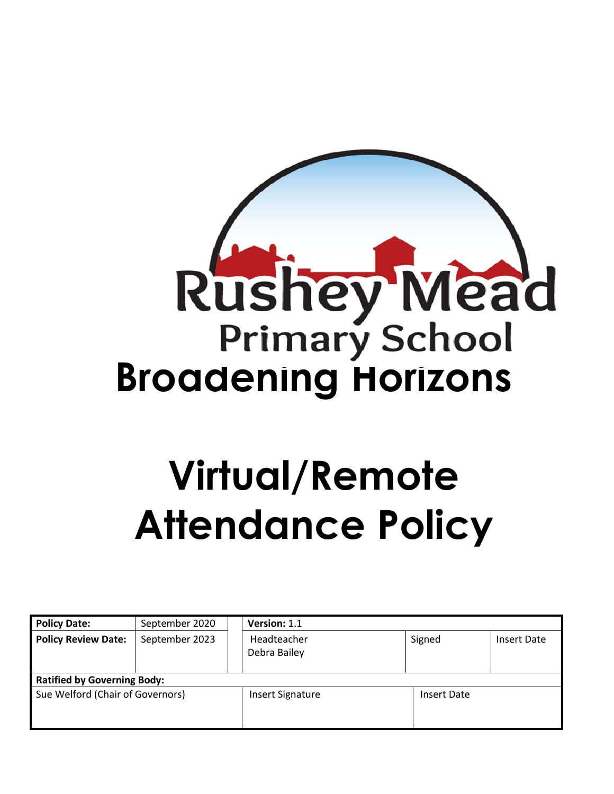

# **Virtual/Remote Attendance Policy**

| <b>Policy Date:</b>                | September 2020 | Version: 1.1                |                    |             |
|------------------------------------|----------------|-----------------------------|--------------------|-------------|
| <b>Policy Review Date:</b>         | September 2023 | Headteacher<br>Debra Bailey | Signed             | Insert Date |
| <b>Ratified by Governing Body:</b> |                |                             |                    |             |
| Sue Welford (Chair of Governors)   |                | <b>Insert Signature</b>     | <b>Insert Date</b> |             |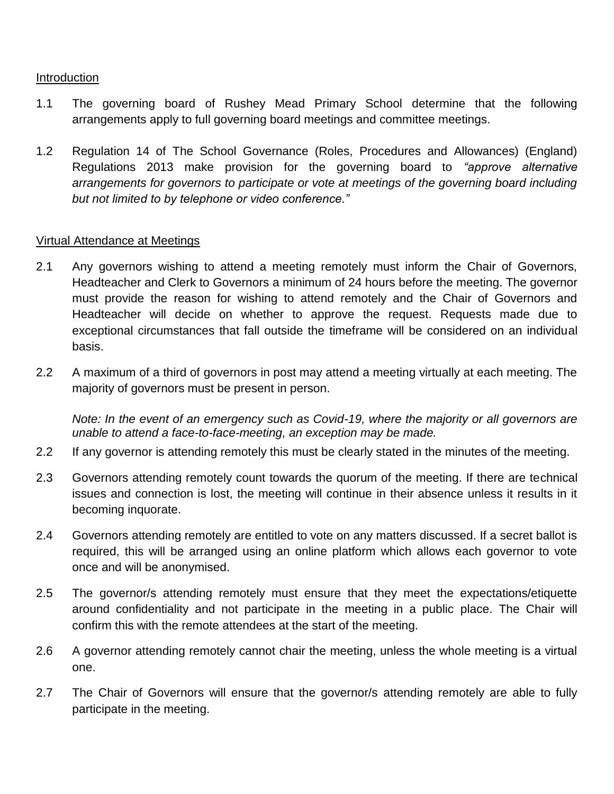### Introduction

- 1.1 The governing board of Rushey Mead Primary School determine that the following arrangements apply to full governing board meetings and committee meetings.
- 1.2 Regulation 14 of The School Governance (Roles, Procedures and Allowances) (England) Regulations 2013 make provision for the governing board to *"approve alternative arrangements for governors to participate or vote at meetings of the governing board including but not limited to by telephone or video conference."*

## Virtual Attendance at Meetings

- 2.1 Any governors wishing to attend a meeting remotely must inform the Chair of Governors, Headteacher and Clerk to Governors a minimum of 24 hours before the meeting. The governor must provide the reason for wishing to attend remotely and the Chair of Governors and Headteacher will decide on whether to approve the request. Requests made due to exceptional circumstances that fall outside the timeframe will be considered on an individual basis.
- 2.2 A maximum of a third of governors in post may attend a meeting virtually at each meeting. The majority of governors must be present in person.

*Note: In the event of an emergency such as Covid-19, where the majority or all governors are unable to attend a face-to-face-meeting, an exception may be made.* 

- 2.2 If any governor is attending remotely this must be clearly stated in the minutes of the meeting.
- 2.3 Governors attending remotely count towards the quorum of the meeting. If there are technical issues and connection is lost, the meeting will continue in their absence unless it results in it becoming inquorate.
- 2.4 Governors attending remotely are entitled to vote on any matters discussed. If a secret ballot is required, this will be arranged using an online platform which allows each governor to vote once and will be anonymised.
- 2.5 The governor/s attending remotely must ensure that they meet the expectations/etiquette around confidentiality and not participate in the meeting in a public place. The Chair will confirm this with the remote attendees at the start of the meeting.
- 2.6 A governor attending remotely cannot chair the meeting, unless the whole meeting is a virtual one.
- 2.7 The Chair of Governors will ensure that the governor/s attending remotely are able to fully participate in the meeting.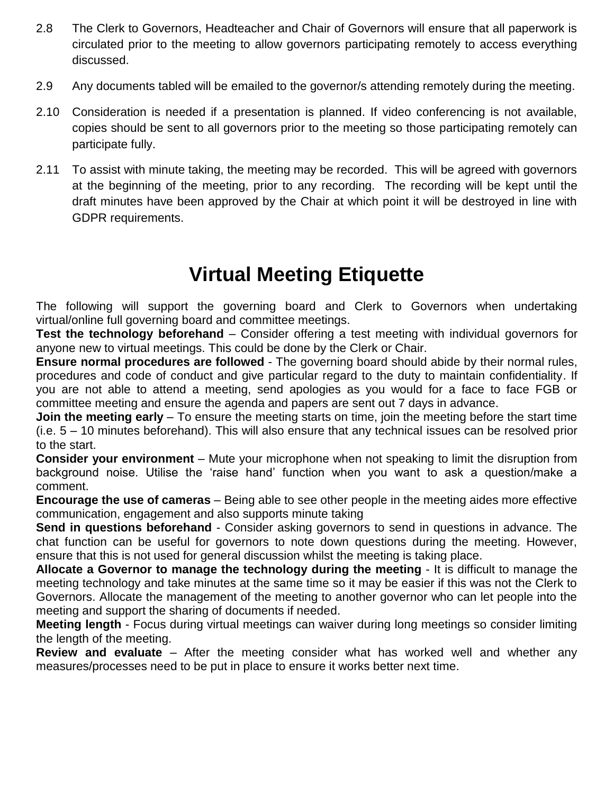- 2.8 The Clerk to Governors, Headteacher and Chair of Governors will ensure that all paperwork is circulated prior to the meeting to allow governors participating remotely to access everything discussed.
- 2.9 Any documents tabled will be emailed to the governor/s attending remotely during the meeting.
- 2.10 Consideration is needed if a presentation is planned. If video conferencing is not available, copies should be sent to all governors prior to the meeting so those participating remotely can participate fully.
- 2.11 To assist with minute taking, the meeting may be recorded. This will be agreed with governors at the beginning of the meeting, prior to any recording. The recording will be kept until the draft minutes have been approved by the Chair at which point it will be destroyed in line with GDPR requirements.

## **Virtual Meeting Etiquette**

The following will support the governing board and Clerk to Governors when undertaking virtual/online full governing board and committee meetings.

**Test the technology beforehand** – Consider offering a test meeting with individual governors for anyone new to virtual meetings. This could be done by the Clerk or Chair.

**Ensure normal procedures are followed** - The governing board should abide by their normal rules, procedures and code of conduct and give particular regard to the duty to maintain confidentiality. If you are not able to attend a meeting, send apologies as you would for a face to face FGB or committee meeting and ensure the agenda and papers are sent out 7 days in advance.

**Join the meeting early** – To ensure the meeting starts on time, join the meeting before the start time (i.e. 5 – 10 minutes beforehand). This will also ensure that any technical issues can be resolved prior to the start.

**Consider your environment** – Mute your microphone when not speaking to limit the disruption from background noise. Utilise the 'raise hand' function when you want to ask a question/make a comment.

**Encourage the use of cameras** – Being able to see other people in the meeting aides more effective communication, engagement and also supports minute taking

**Send in questions beforehand** - Consider asking governors to send in questions in advance. The chat function can be useful for governors to note down questions during the meeting. However, ensure that this is not used for general discussion whilst the meeting is taking place.

**Allocate a Governor to manage the technology during the meeting** - It is difficult to manage the meeting technology and take minutes at the same time so it may be easier if this was not the Clerk to Governors. Allocate the management of the meeting to another governor who can let people into the meeting and support the sharing of documents if needed.

**Meeting length** - Focus during virtual meetings can waiver during long meetings so consider limiting the length of the meeting.

**Review and evaluate** – After the meeting consider what has worked well and whether any measures/processes need to be put in place to ensure it works better next time.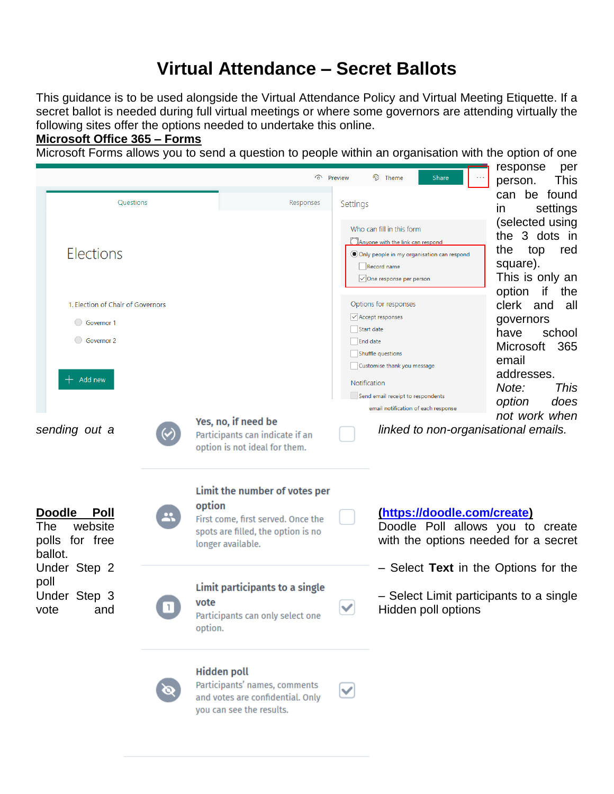## **Virtual Attendance – Secret Ballots**

This guidance is to be used alongside the Virtual Attendance Policy and Virtual Meeting Etiquette. If a secret ballot is needed during full virtual meetings or where some governors are attending virtually the following sites offer the options needed to undertake this online.

### **Microsoft Office 365 – Forms**

Microsoft Forms allows you to send a question to people within an organisation with the option of one





V